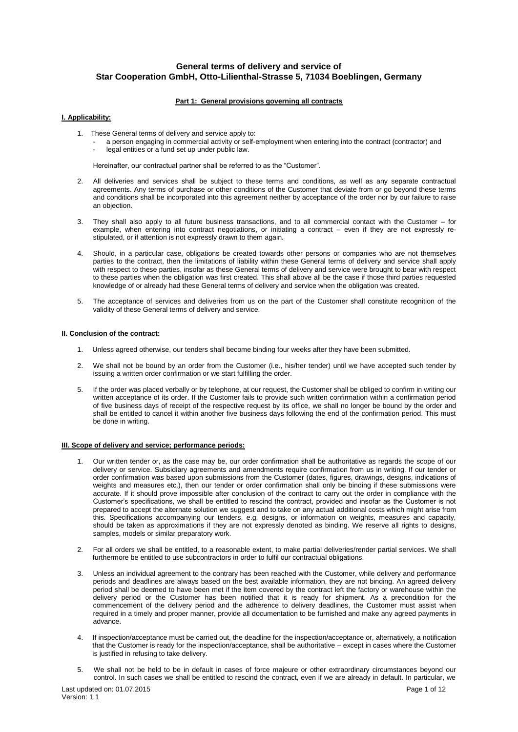# **General terms of delivery and service of Star Cooperation GmbH, Otto-Lilienthal-Strasse 5, 71034 Boeblingen, Germany**

# **Part 1: General provisions governing all contracts**

# **I. Applicability:**

- 1. These General terms of delivery and service apply to:
	- a person engaging in commercial activity or self-employment when entering into the contract (contractor) and legal entities or a fund set up under public law.

Hereinafter, our contractual partner shall be referred to as the "Customer".

- 2. All deliveries and services shall be subject to these terms and conditions, as well as any separate contractual agreements. Any terms of purchase or other conditions of the Customer that deviate from or go beyond these terms and conditions shall be incorporated into this agreement neither by acceptance of the order nor by our failure to raise an objection.
- 3. They shall also apply to all future business transactions, and to all commercial contact with the Customer for example, when entering into contract negotiations, or initiating a contract – even if they are not expressly restipulated, or if attention is not expressly drawn to them again.
- 4. Should, in a particular case, obligations be created towards other persons or companies who are not themselves parties to the contract, then the limitations of liability within these General terms of delivery and service shall apply with respect to these parties, insofar as these General terms of delivery and service were brought to bear with respect to these parties when the obligation was first created. This shall above all be the case if those third parties requested knowledge of or already had these General terms of delivery and service when the obligation was created.
- 5. The acceptance of services and deliveries from us on the part of the Customer shall constitute recognition of the validity of these General terms of delivery and service.

# **II. Conclusion of the contract:**

- 1. Unless agreed otherwise, our tenders shall become binding four weeks after they have been submitted.
- 2. We shall not be bound by an order from the Customer (i.e., his/her tender) until we have accepted such tender by issuing a written order confirmation or we start fulfilling the order.
- 5. If the order was placed verbally or by telephone, at our request, the Customer shall be obliged to confirm in writing our written acceptance of its order. If the Customer fails to provide such written confirmation within a confirmation period of five business days of receipt of the respective request by its office, we shall no longer be bound by the order and shall be entitled to cancel it within another five business days following the end of the confirmation period. This must be done in writing.

# **III. Scope of delivery and service; performance periods:**

- 1. Our written tender or, as the case may be, our order confirmation shall be authoritative as regards the scope of our delivery or service. Subsidiary agreements and amendments require confirmation from us in writing. If our tender or order confirmation was based upon submissions from the Customer (dates, figures, drawings, designs, indications of weights and measures etc.), then our tender or order confirmation shall only be binding if these submissions were accurate. If it should prove impossible after conclusion of the contract to carry out the order in compliance with the Customer's specifications, we shall be entitled to rescind the contract, provided and insofar as the Customer is not prepared to accept the alternate solution we suggest and to take on any actual additional costs which might arise from this. Specifications accompanying our tenders, e.g. designs, or information on weights, measures and capacity, should be taken as approximations if they are not expressly denoted as binding. We reserve all rights to designs, samples, models or similar preparatory work.
- 2. For all orders we shall be entitled, to a reasonable extent, to make partial deliveries/render partial services. We shall furthermore be entitled to use subcontractors in order to fulfil our contractual obligations.
- 3. Unless an individual agreement to the contrary has been reached with the Customer, while delivery and performance periods and deadlines are always based on the best available information, they are not binding. An agreed delivery period shall be deemed to have been met if the item covered by the contract left the factory or warehouse within the delivery period or the Customer has been notified that it is ready for shipment. As a precondition for the commencement of the delivery period and the adherence to delivery deadlines, the Customer must assist when required in a timely and proper manner, provide all documentation to be furnished and make any agreed payments in advance.
- 4. If inspection/acceptance must be carried out, the deadline for the inspection/acceptance or, alternatively, a notification that the Customer is ready for the inspection/acceptance, shall be authoritative – except in cases where the Customer is justified in refusing to take delivery.
- 5. We shall not be held to be in default in cases of force majeure or other extraordinary circumstances beyond our control. In such cases we shall be entitled to rescind the contract, even if we are already in default. In particular, we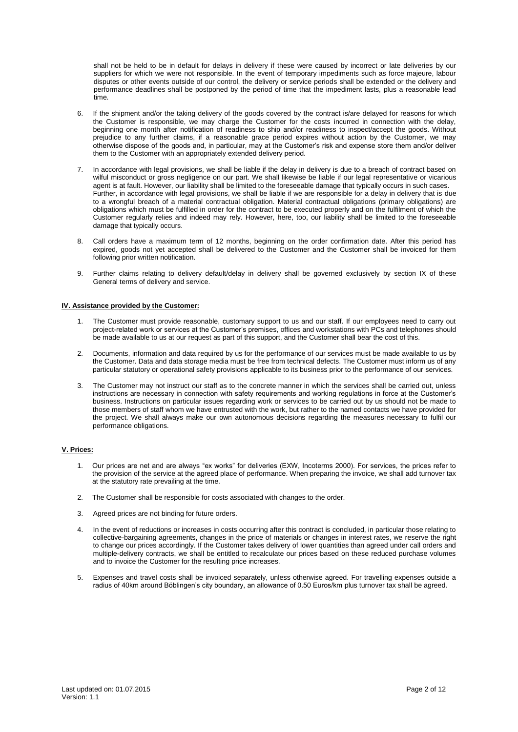shall not be held to be in default for delays in delivery if these were caused by incorrect or late deliveries by our suppliers for which we were not responsible. In the event of temporary impediments such as force majeure, labour disputes or other events outside of our control, the delivery or service periods shall be extended or the delivery and performance deadlines shall be postponed by the period of time that the impediment lasts, plus a reasonable lead time.

- 6. If the shipment and/or the taking delivery of the goods covered by the contract is/are delayed for reasons for which the Customer is responsible, we may charge the Customer for the costs incurred in connection with the delay, beginning one month after notification of readiness to ship and/or readiness to inspect/accept the goods. Without prejudice to any further claims, if a reasonable grace period expires without action by the Customer, we may otherwise dispose of the goods and, in particular, may at the Customer's risk and expense store them and/or deliver them to the Customer with an appropriately extended delivery period.
- 7. In accordance with legal provisions, we shall be liable if the delay in delivery is due to a breach of contract based on wilful misconduct or gross negligence on our part. We shall likewise be liable if our legal representative or vicarious agent is at fault. However, our liability shall be limited to the foreseeable damage that typically occurs in such cases. Further, in accordance with legal provisions, we shall be liable if we are responsible for a delay in delivery that is due to a wrongful breach of a material contractual obligation. Material contractual obligations (primary obligations) are obligations which must be fulfilled in order for the contract to be executed properly and on the fulfilment of which the Customer regularly relies and indeed may rely. However, here, too, our liability shall be limited to the foreseeable damage that typically occurs.
- 8. Call orders have a maximum term of 12 months, beginning on the order confirmation date. After this period has expired, goods not yet accepted shall be delivered to the Customer and the Customer shall be invoiced for them following prior written notification.
- 9. Further claims relating to delivery default/delay in delivery shall be governed exclusively by section IX of these General terms of delivery and service.

# **IV. Assistance provided by the Customer:**

- 1. The Customer must provide reasonable, customary support to us and our staff. If our employees need to carry out project-related work or services at the Customer's premises, offices and workstations with PCs and telephones should be made available to us at our request as part of this support, and the Customer shall bear the cost of this.
- 2. Documents, information and data required by us for the performance of our services must be made available to us by the Customer. Data and data storage media must be free from technical defects. The Customer must inform us of any particular statutory or operational safety provisions applicable to its business prior to the performance of our services.
- 3. The Customer may not instruct our staff as to the concrete manner in which the services shall be carried out, unless instructions are necessary in connection with safety requirements and working regulations in force at the Customer's business. Instructions on particular issues regarding work or services to be carried out by us should not be made to those members of staff whom we have entrusted with the work, but rather to the named contacts we have provided for the project. We shall always make our own autonomous decisions regarding the measures necessary to fulfil our performance obligations.

# **V. Prices:**

- 1. Our prices are net and are always "ex works" for deliveries (EXW, Incoterms 2000). For services, the prices refer to the provision of the service at the agreed place of performance. When preparing the invoice, we shall add turnover tax at the statutory rate prevailing at the time.
- 2. The Customer shall be responsible for costs associated with changes to the order.
- 3. Agreed prices are not binding for future orders.
- 4. In the event of reductions or increases in costs occurring after this contract is concluded, in particular those relating to collective-bargaining agreements, changes in the price of materials or changes in interest rates, we reserve the right to change our prices accordingly. If the Customer takes delivery of lower quantities than agreed under call orders and multiple-delivery contracts, we shall be entitled to recalculate our prices based on these reduced purchase volumes and to invoice the Customer for the resulting price increases.
- 5. Expenses and travel costs shall be invoiced separately, unless otherwise agreed. For travelling expenses outside a radius of 40km around Böblingen's city boundary, an allowance of 0.50 Euros/km plus turnover tax shall be agreed.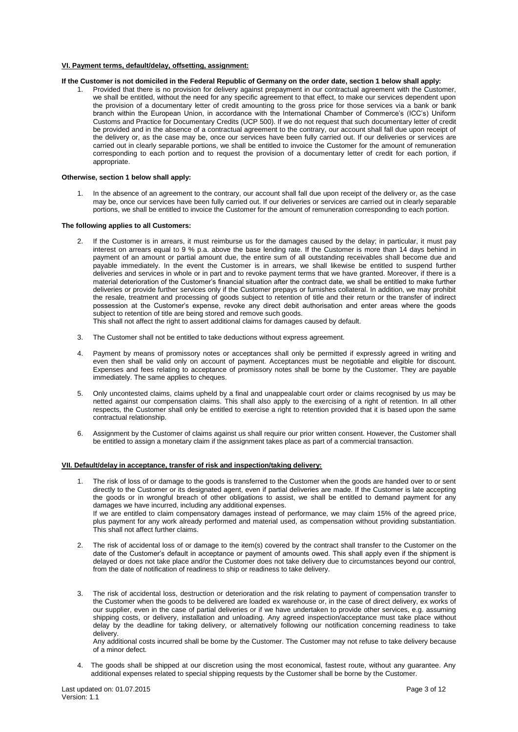# **VI. Payment terms, default/delay, offsetting, assignment:**

# **If the Customer is not domiciled in the Federal Republic of Germany on the order date, section 1 below shall apply:**

1. Provided that there is no provision for delivery against prepayment in our contractual agreement with the Customer, we shall be entitled, without the need for any specific agreement to that effect, to make our services dependent upon the provision of a documentary letter of credit amounting to the gross price for those services via a bank or bank branch within the European Union, in accordance with the International Chamber of Commerce's (ICC's) Uniform Customs and Practice for Documentary Credits (UCP 500). If we do not request that such documentary letter of credit be provided and in the absence of a contractual agreement to the contrary, our account shall fall due upon receipt of the delivery or, as the case may be, once our services have been fully carried out. If our deliveries or services are carried out in clearly separable portions, we shall be entitled to invoice the Customer for the amount of remuneration corresponding to each portion and to request the provision of a documentary letter of credit for each portion, if appropriate.

#### **Otherwise, section 1 below shall apply:**

1. In the absence of an agreement to the contrary, our account shall fall due upon receipt of the delivery or, as the case may be, once our services have been fully carried out. If our deliveries or services are carried out in clearly separable portions, we shall be entitled to invoice the Customer for the amount of remuneration corresponding to each portion.

#### **The following applies to all Customers:**

- 2. If the Customer is in arrears, it must reimburse us for the damages caused by the delay; in particular, it must pay interest on arrears equal to 9 % p.a. above the base lending rate. If the Customer is more than 14 days behind in payment of an amount or partial amount due, the entire sum of all outstanding receivables shall become due and payable immediately. In the event the Customer is in arrears, we shall likewise be entitled to suspend further deliveries and services in whole or in part and to revoke payment terms that we have granted. Moreover, if there is a material deterioration of the Customer's financial situation after the contract date, we shall be entitled to make further deliveries or provide further services only if the Customer prepays or furnishes collateral. In addition, we may prohibit the resale, treatment and processing of goods subject to retention of title and their return or the transfer of indirect possession at the Customer's expense, revoke any direct debit authorisation and enter areas where the goods subject to retention of title are being stored and remove such goods.
	- This shall not affect the right to assert additional claims for damages caused by default.
- 3. The Customer shall not be entitled to take deductions without express agreement.
- 4. Payment by means of promissory notes or acceptances shall only be permitted if expressly agreed in writing and even then shall be valid only on account of payment. Acceptances must be negotiable and eligible for discount. Expenses and fees relating to acceptance of promissory notes shall be borne by the Customer. They are payable immediately. The same applies to cheques.
- 5. Only uncontested claims, claims upheld by a final and unappealable court order or claims recognised by us may be netted against our compensation claims. This shall also apply to the exercising of a right of retention. In all other respects, the Customer shall only be entitled to exercise a right to retention provided that it is based upon the same contractual relationship.
- 6. Assignment by the Customer of claims against us shall require our prior written consent. However, the Customer shall be entitled to assign a monetary claim if the assignment takes place as part of a commercial transaction.

#### **VII. Default/delay in acceptance, transfer of risk and inspection/taking delivery:**

- 1. The risk of loss of or damage to the goods is transferred to the Customer when the goods are handed over to or sent directly to the Customer or its designated agent, even if partial deliveries are made. If the Customer is late accepting the goods or in wrongful breach of other obligations to assist, we shall be entitled to demand payment for any damages we have incurred, including any additional expenses. If we are entitled to claim compensatory damages instead of performance, we may claim 15% of the agreed price, plus payment for any work already performed and material used, as compensation without providing substantiation. This shall not affect further claims.
- 2. The risk of accidental loss of or damage to the item(s) covered by the contract shall transfer to the Customer on the date of the Customer's default in acceptance or payment of amounts owed. This shall apply even if the shipment is delayed or does not take place and/or the Customer does not take delivery due to circumstances beyond our control, from the date of notification of readiness to ship or readiness to take delivery.
- 3. The risk of accidental loss, destruction or deterioration and the risk relating to payment of compensation transfer to the Customer when the goods to be delivered are loaded ex warehouse or, in the case of direct delivery, ex works of our supplier, even in the case of partial deliveries or if we have undertaken to provide other services, e.g. assuming shipping costs, or delivery, installation and unloading. Any agreed inspection/acceptance must take place without delay by the deadline for taking delivery, or alternatively following our notification concerning readiness to take delivery.

Any additional costs incurred shall be borne by the Customer. The Customer may not refuse to take delivery because of a minor defect.

4. The goods shall be shipped at our discretion using the most economical, fastest route, without any guarantee. Any additional expenses related to special shipping requests by the Customer shall be borne by the Customer.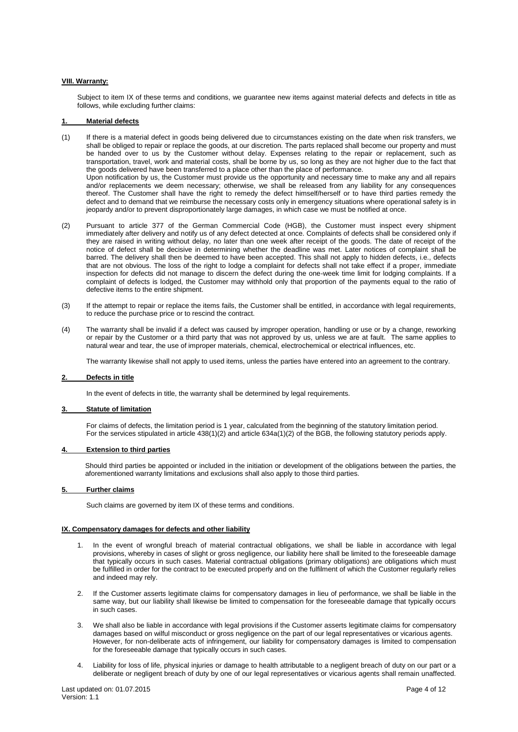## **VIII. Warranty:**

Subject to item IX of these terms and conditions, we guarantee new items against material defects and defects in title as follows, while excluding further claims:

# **1. Material defects**

(1) If there is a material defect in goods being delivered due to circumstances existing on the date when risk transfers, we shall be obliged to repair or replace the goods, at our discretion. The parts replaced shall become our property and must be handed over to us by the Customer without delay. Expenses relating to the repair or replacement, such as transportation, travel, work and material costs, shall be borne by us, so long as they are not higher due to the fact that the goods delivered have been transferred to a place other than the place of performance. Upon notification by us, the Customer must provide us the opportunity and necessary time to make any and all repairs and/or replacements we deem necessary; otherwise, we shall be released from any liability for any consequences thereof. The Customer shall have the right to remedy the defect himself/herself or to have third parties remedy the defect and to demand that we reimburse the necessary costs only in emergency situations where operational safety is in

jeopardy and/or to prevent disproportionately large damages, in which case we must be notified at once.

- (2) Pursuant to article 377 of the German Commercial Code (HGB), the Customer must inspect every shipment immediately after delivery and notify us of any defect detected at once. Complaints of defects shall be considered only if they are raised in writing without delay, no later than one week after receipt of the goods. The date of receipt of the notice of defect shall be decisive in determining whether the deadline was met. Later notices of complaint shall be barred. The delivery shall then be deemed to have been accepted. This shall not apply to hidden defects, i.e., defects that are not obvious. The loss of the right to lodge a complaint for defects shall not take effect if a proper, immediate inspection for defects did not manage to discern the defect during the one-week time limit for lodging complaints. If a complaint of defects is lodged, the Customer may withhold only that proportion of the payments equal to the ratio of defective items to the entire shipment.
- (3) If the attempt to repair or replace the items fails, the Customer shall be entitled, in accordance with legal requirements, to reduce the purchase price or to rescind the contract.
- (4) The warranty shall be invalid if a defect was caused by improper operation, handling or use or by a change, reworking or repair by the Customer or a third party that was not approved by us, unless we are at fault. The same applies to natural wear and tear, the use of improper materials, chemical, electrochemical or electrical influences, etc.

The warranty likewise shall not apply to used items, unless the parties have entered into an agreement to the contrary.

#### **2. Defects in title**

In the event of defects in title, the warranty shall be determined by legal requirements.

### **3. Statute of limitation**

For claims of defects, the limitation period is 1 year, calculated from the beginning of the statutory limitation period. For the services stipulated in article 438(1)(2) and article 634a(1)(2) of the BGB, the following statutory periods apply.

#### **4. Extension to third parties**

Should third parties be appointed or included in the initiation or development of the obligations between the parties, the aforementioned warranty limitations and exclusions shall also apply to those third parties.

#### **5. Further claims**

Such claims are governed by item IX of these terms and conditions.

# **IX. Compensatory damages for defects and other liability**

- 1. In the event of wrongful breach of material contractual obligations, we shall be liable in accordance with legal provisions, whereby in cases of slight or gross negligence, our liability here shall be limited to the foreseeable damage that typically occurs in such cases. Material contractual obligations (primary obligations) are obligations which must be fulfilled in order for the contract to be executed properly and on the fulfilment of which the Customer regularly relies and indeed may rely.
- 2. If the Customer asserts legitimate claims for compensatory damages in lieu of performance, we shall be liable in the same way, but our liability shall likewise be limited to compensation for the foreseeable damage that typically occurs in such cases.
- 3. We shall also be liable in accordance with legal provisions if the Customer asserts legitimate claims for compensatory damages based on wilful misconduct or gross negligence on the part of our legal representatives or vicarious agents. However, for non-deliberate acts of infringement, our liability for compensatory damages is limited to compensation for the foreseeable damage that typically occurs in such cases.
- 4. Liability for loss of life, physical injuries or damage to health attributable to a negligent breach of duty on our part or a deliberate or negligent breach of duty by one of our legal representatives or vicarious agents shall remain unaffected.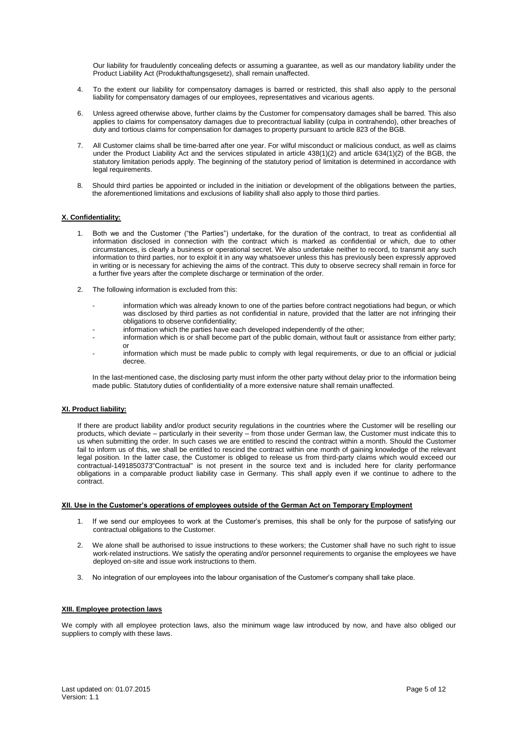Our liability for fraudulently concealing defects or assuming a guarantee, as well as our mandatory liability under the Product Liability Act (Produkthaftungsgesetz), shall remain unaffected.

- 4. To the extent our liability for compensatory damages is barred or restricted, this shall also apply to the personal liability for compensatory damages of our employees, representatives and vicarious agents.
- 6. Unless agreed otherwise above, further claims by the Customer for compensatory damages shall be barred. This also applies to claims for compensatory damages due to precontractual liability (culpa in contrahendo), other breaches of duty and tortious claims for compensation for damages to property pursuant to article 823 of the BGB.
- 7. All Customer claims shall be time-barred after one year. For wilful misconduct or malicious conduct, as well as claims under the Product Liability Act and the services stipulated in article 438(1)(2) and article 634(1)(2) of the BGB, the statutory limitation periods apply. The beginning of the statutory period of limitation is determined in accordance with legal requirements.
- 8. Should third parties be appointed or included in the initiation or development of the obligations between the parties, the aforementioned limitations and exclusions of liability shall also apply to those third parties.

# **X. Confidentiality:**

- 1. Both we and the Customer ("the Parties") undertake, for the duration of the contract, to treat as confidential all information disclosed in connection with the contract which is marked as confidential or which, due to other circumstances, is clearly a business or operational secret. We also undertake neither to record, to transmit any such information to third parties, nor to exploit it in any way whatsoever unless this has previously been expressly approved in writing or is necessary for achieving the aims of the contract. This duty to observe secrecy shall remain in force for a further five years after the complete discharge or termination of the order.
- 2. The following information is excluded from this:
	- information which was already known to one of the parties before contract negotiations had begun, or which was disclosed by third parties as not confidential in nature, provided that the latter are not infringing their obligations to observe confidentiality;
	- information which the parties have each developed independently of the other:
	- information which is or shall become part of the public domain, without fault or assistance from either party; or
	- information which must be made public to comply with legal requirements, or due to an official or judicial decree.

In the last-mentioned case, the disclosing party must inform the other party without delay prior to the information being made public. Statutory duties of confidentiality of a more extensive nature shall remain unaffected.

# **XI. Product liability:**

If there are product liability and/or product security regulations in the countries where the Customer will be reselling our products, which deviate – particularly in their severity – from those under German law, the Customer must indicate this to us when submitting the order. In such cases we are entitled to rescind the contract within a month. Should the Customer fail to inform us of this, we shall be entitled to rescind the contract within one month of gaining knowledge of the relevant legal position. In the latter case, the Customer is obliged to release us from third-party claims which would exceed our contractual-1491850373"Contractual" is not present in the source text and is included here for clarity performance obligations in a comparable product liability case in Germany. This shall apply even if we continue to adhere to the contract.

# **XII. Use in the Customer's operations of employees outside of the German Act on Temporary Employment**

- 1. If we send our employees to work at the Customer's premises, this shall be only for the purpose of satisfying our contractual obligations to the Customer.
- 2. We alone shall be authorised to issue instructions to these workers; the Customer shall have no such right to issue work-related instructions. We satisfy the operating and/or personnel requirements to organise the employees we have deployed on-site and issue work instructions to them.
- 3. No integration of our employees into the labour organisation of the Customer's company shall take place.

#### **XIII. Employee protection laws**

We comply with all employee protection laws, also the minimum wage law introduced by now, and have also obliged our suppliers to comply with these laws.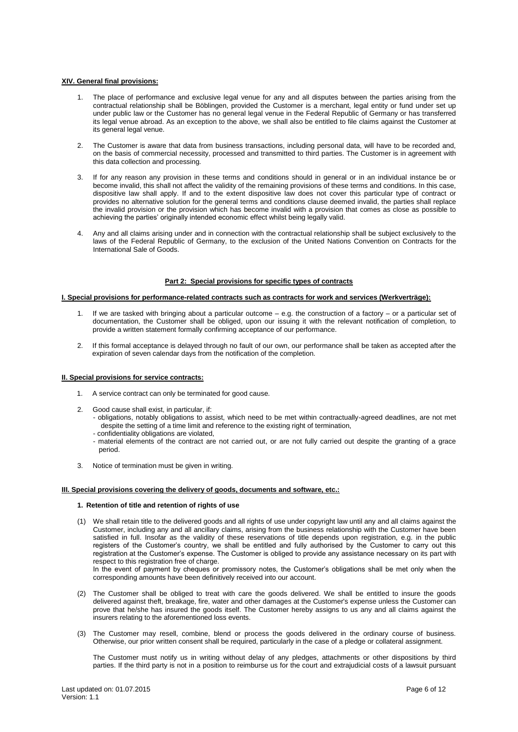# **XIV. General final provisions:**

- The place of performance and exclusive legal venue for any and all disputes between the parties arising from the contractual relationship shall be Böblingen, provided the Customer is a merchant, legal entity or fund under set up under public law or the Customer has no general legal venue in the Federal Republic of Germany or has transferred its legal venue abroad. As an exception to the above, we shall also be entitled to file claims against the Customer at its general legal venue.
- 2. The Customer is aware that data from business transactions, including personal data, will have to be recorded and, on the basis of commercial necessity, processed and transmitted to third parties. The Customer is in agreement with this data collection and processing.
- 3. If for any reason any provision in these terms and conditions should in general or in an individual instance be or become invalid, this shall not affect the validity of the remaining provisions of these terms and conditions. In this case, dispositive law shall apply. If and to the extent dispositive law does not cover this particular type of contract or provides no alternative solution for the general terms and conditions clause deemed invalid, the parties shall replace the invalid provision or the provision which has become invalid with a provision that comes as close as possible to achieving the parties' originally intended economic effect whilst being legally valid.
- 4. Any and all claims arising under and in connection with the contractual relationship shall be subject exclusively to the laws of the Federal Republic of Germany, to the exclusion of the United Nations Convention on Contracts for the International Sale of Goods.

# **Part 2: Special provisions for specific types of contracts**

### **I. Special provisions for performance-related contracts such as contracts for work and services (Werkverträge):**

- 1. If we are tasked with bringing about a particular outcome e.g. the construction of a factory or a particular set of documentation, the Customer shall be obliged, upon our issuing it with the relevant notification of completion, to provide a written statement formally confirming acceptance of our performance.
- 2. If this formal acceptance is delayed through no fault of our own, our performance shall be taken as accepted after the expiration of seven calendar days from the notification of the completion.

# **II. Special provisions for service contracts:**

- 1. A service contract can only be terminated for good cause.
- 2. Good cause shall exist, in particular, if:
	- obligations, notably obligations to assist, which need to be met within contractually-agreed deadlines, are not met despite the setting of a time limit and reference to the existing right of termination,
	- confidentiality obligations are violated,
	- material elements of the contract are not carried out, or are not fully carried out despite the granting of a grace period.
- 3. Notice of termination must be given in writing.

#### **III. Special provisions covering the delivery of goods, documents and software, etc.:**

# **1. Retention of title and retention of rights of use**

(1) We shall retain title to the delivered goods and all rights of use under copyright law until any and all claims against the Customer, including any and all ancillary claims, arising from the business relationship with the Customer have been satisfied in full. Insofar as the validity of these reservations of title depends upon registration, e.g. in the public registers of the Customer's country, we shall be entitled and fully authorised by the Customer to carry out this registration at the Customer's expense. The Customer is obliged to provide any assistance necessary on its part with respect to this registration free of charge. In the event of payment by cheques or promissory notes, the Customer's obligations shall be met only when the

corresponding amounts have been definitively received into our account.

- (2) The Customer shall be obliged to treat with care the goods delivered. We shall be entitled to insure the goods delivered against theft, breakage, fire, water and other damages at the Customer's expense unless the Customer can prove that he/she has insured the goods itself. The Customer hereby assigns to us any and all claims against the insurers relating to the aforementioned loss events.
- (3) The Customer may resell, combine, blend or process the goods delivered in the ordinary course of business. Otherwise, our prior written consent shall be required, particularly in the case of a pledge or collateral assignment.

The Customer must notify us in writing without delay of any pledges, attachments or other dispositions by third parties. If the third party is not in a position to reimburse us for the court and extrajudicial costs of a lawsuit pursuant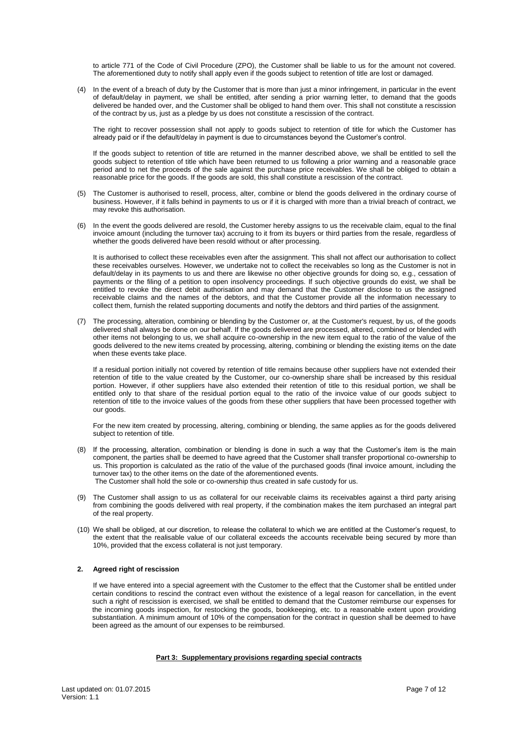to article 771 of the Code of Civil Procedure (ZPO), the Customer shall be liable to us for the amount not covered. The aforementioned duty to notify shall apply even if the goods subject to retention of title are lost or damaged.

(4) In the event of a breach of duty by the Customer that is more than just a minor infringement, in particular in the event of default/delay in payment, we shall be entitled, after sending a prior warning letter, to demand that the goods delivered be handed over, and the Customer shall be obliged to hand them over. This shall not constitute a rescission of the contract by us, just as a pledge by us does not constitute a rescission of the contract.

The right to recover possession shall not apply to goods subject to retention of title for which the Customer has already paid or if the default/delay in payment is due to circumstances beyond the Customer's control.

If the goods subject to retention of title are returned in the manner described above, we shall be entitled to sell the goods subject to retention of title which have been returned to us following a prior warning and a reasonable grace period and to net the proceeds of the sale against the purchase price receivables. We shall be obliged to obtain a reasonable price for the goods. If the goods are sold, this shall constitute a rescission of the contract.

- (5) The Customer is authorised to resell, process, alter, combine or blend the goods delivered in the ordinary course of business. However, if it falls behind in payments to us or if it is charged with more than a trivial breach of contract, we may revoke this authorisation.
- (6) In the event the goods delivered are resold, the Customer hereby assigns to us the receivable claim, equal to the final invoice amount (including the turnover tax) accruing to it from its buyers or third parties from the resale, regardless of whether the goods delivered have been resold without or after processing.

It is authorised to collect these receivables even after the assignment. This shall not affect our authorisation to collect these receivables ourselves. However, we undertake not to collect the receivables so long as the Customer is not in default/delay in its payments to us and there are likewise no other objective grounds for doing so, e.g., cessation of payments or the filing of a petition to open insolvency proceedings. If such objective grounds do exist, we shall be entitled to revoke the direct debit authorisation and may demand that the Customer disclose to us the assigned receivable claims and the names of the debtors, and that the Customer provide all the information necessary to collect them, furnish the related supporting documents and notify the debtors and third parties of the assignment.

(7) The processing, alteration, combining or blending by the Customer or, at the Customer's request, by us, of the goods delivered shall always be done on our behalf. If the goods delivered are processed, altered, combined or blended with other items not belonging to us, we shall acquire co-ownership in the new item equal to the ratio of the value of the goods delivered to the new items created by processing, altering, combining or blending the existing items on the date when these events take place.

If a residual portion initially not covered by retention of title remains because other suppliers have not extended their retention of title to the value created by the Customer, our co-ownership share shall be increased by this residual portion. However, if other suppliers have also extended their retention of title to this residual portion, we shall be entitled only to that share of the residual portion equal to the ratio of the invoice value of our goods subject to retention of title to the invoice values of the goods from these other suppliers that have been processed together with our goods.

For the new item created by processing, altering, combining or blending, the same applies as for the goods delivered subject to retention of title.

- (8) If the processing, alteration, combination or blending is done in such a way that the Customer's item is the main component, the parties shall be deemed to have agreed that the Customer shall transfer proportional co-ownership to us. This proportion is calculated as the ratio of the value of the purchased goods (final invoice amount, including the turnover tax) to the other items on the date of the aforementioned events. The Customer shall hold the sole or co-ownership thus created in safe custody for us.
- (9) The Customer shall assign to us as collateral for our receivable claims its receivables against a third party arising from combining the goods delivered with real property, if the combination makes the item purchased an integral part of the real property.
- (10) We shall be obliged, at our discretion, to release the collateral to which we are entitled at the Customer's request, to the extent that the realisable value of our collateral exceeds the accounts receivable being secured by more than 10%, provided that the excess collateral is not just temporary.

# **2. Agreed right of rescission**

If we have entered into a special agreement with the Customer to the effect that the Customer shall be entitled under certain conditions to rescind the contract even without the existence of a legal reason for cancellation, in the event such a right of rescission is exercised, we shall be entitled to demand that the Customer reimburse our expenses for the incoming goods inspection, for restocking the goods, bookkeeping, etc. to a reasonable extent upon providing substantiation. A minimum amount of 10% of the compensation for the contract in question shall be deemed to have been agreed as the amount of our expenses to be reimbursed.

# **Part 3: Supplementary provisions regarding special contracts**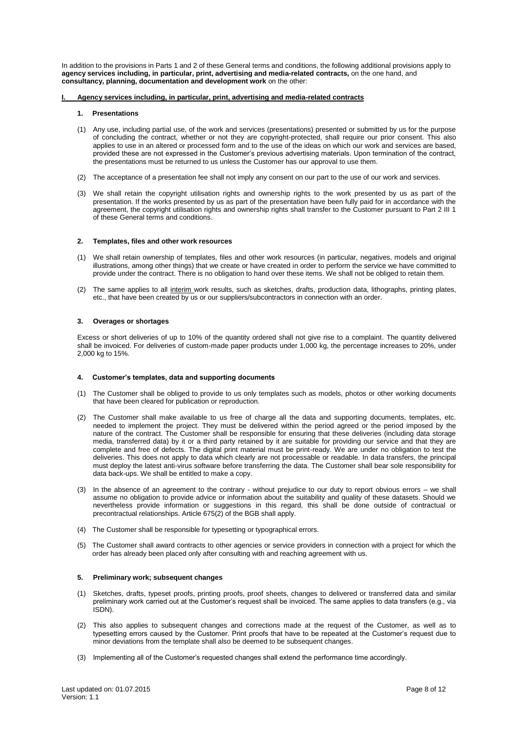In addition to the provisions in Parts 1 and 2 of these General terms and conditions, the following additional provisions apply to **agency services including, in particular, print, advertising and media-related contracts,** on the one hand, and **consultancy, planning, documentation and development work** on the other:

# **I. Agency services including, in particular, print, advertising and media-related contracts**

#### **1. Presentations**

- (1) Any use, including partial use, of the work and services (presentations) presented or submitted by us for the purpose of concluding the contract, whether or not they are copyright-protected, shall require our prior consent. This also applies to use in an altered or processed form and to the use of the ideas on which our work and services are based, provided these are not expressed in the Customer's previous advertising materials. Upon termination of the contract, the presentations must be returned to us unless the Customer has our approval to use them.
- (2) The acceptance of a presentation fee shall not imply any consent on our part to the use of our work and services.
- (3) We shall retain the copyright utilisation rights and ownership rights to the work presented by us as part of the presentation. If the works presented by us as part of the presentation have been fully paid for in accordance with the agreement, the copyright utilisation rights and ownership rights shall transfer to the Customer pursuant to Part 2 III 1 of these General terms and conditions.

# **2. Templates, files and other work resources**

- (1) We shall retain ownership of templates, files and other work resources (in particular, negatives, models and original illustrations, among other things) that we create or have created in order to perform the service we have committed to provide under the contract. There is no obligation to hand over these items. We shall not be obliged to retain them.
- (2) The same applies to all interim work results, such as sketches, drafts, production data, lithographs, printing plates, etc., that have been created by us or our suppliers/subcontractors in connection with an order.

#### **3. Overages or shortages**

Excess or short deliveries of up to 10% of the quantity ordered shall not give rise to a complaint. The quantity delivered shall be invoiced. For deliveries of custom-made paper products under 1,000 kg, the percentage increases to 20%, under 2,000 kg to 15%.

#### **4. Customer's templates, data and supporting documents**

- (1) The Customer shall be obliged to provide to us only templates such as models, photos or other working documents that have been cleared for publication or reproduction.
- (2) The Customer shall make available to us free of charge all the data and supporting documents, templates, etc. needed to implement the project. They must be delivered within the period agreed or the period imposed by the nature of the contract. The Customer shall be responsible for ensuring that these deliveries (including data storage media, transferred data) by it or a third party retained by it are suitable for providing our service and that they are complete and free of defects. The digital print material must be print-ready. We are under no obligation to test the deliveries. This does not apply to data which clearly are not processable or readable. In data transfers, the principal must deploy the latest anti-virus software before transferring the data. The Customer shall bear sole responsibility for data back-ups. We shall be entitled to make a copy.
- (3) In the absence of an agreement to the contrary without prejudice to our duty to report obvious errors we shall assume no obligation to provide advice or information about the suitability and quality of these datasets. Should we nevertheless provide information or suggestions in this regard, this shall be done outside of contractual or precontractual relationships. Article 675(2) of the BGB shall apply.
- (4) The Customer shall be responsible for typesetting or typographical errors.
- (5) The Customer shall award contracts to other agencies or service providers in connection with a project for which the order has already been placed only after consulting with and reaching agreement with us.

# **5. Preliminary work; subsequent changes**

- (1) Sketches, drafts, typeset proofs, printing proofs, proof sheets, changes to delivered or transferred data and similar preliminary work carried out at the Customer's request shall be invoiced. The same applies to data transfers (e.g., via ISDN).
- (2) This also applies to subsequent changes and corrections made at the request of the Customer, as well as to typesetting errors caused by the Customer. Print proofs that have to be repeated at the Customer's request due to minor deviations from the template shall also be deemed to be subsequent changes.
- (3) Implementing all of the Customer's requested changes shall extend the performance time accordingly.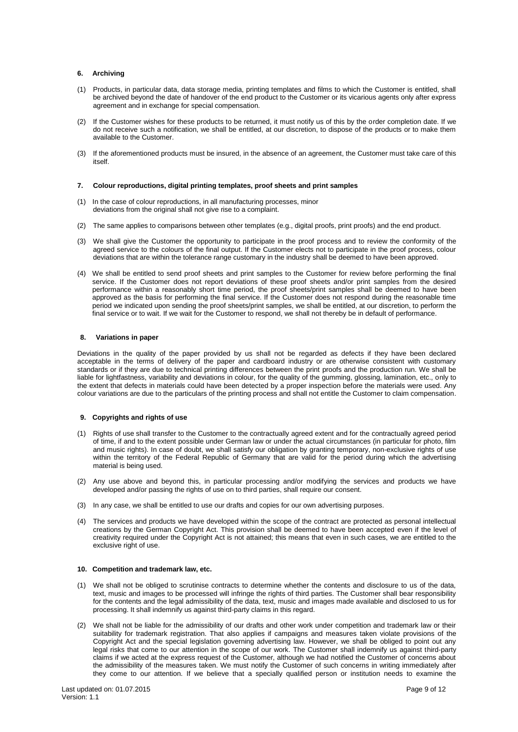# **6. Archiving**

- (1) Products, in particular data, data storage media, printing templates and films to which the Customer is entitled, shall be archived beyond the date of handover of the end product to the Customer or its vicarious agents only after express agreement and in exchange for special compensation.
- (2) If the Customer wishes for these products to be returned, it must notify us of this by the order completion date. If we do not receive such a notification, we shall be entitled, at our discretion, to dispose of the products or to make them available to the Customer.
- (3) If the aforementioned products must be insured, in the absence of an agreement, the Customer must take care of this itself.

### **7. Colour reproductions, digital printing templates, proof sheets and print samples**

- (1) In the case of colour reproductions, in all manufacturing processes, minor deviations from the original shall not give rise to a complaint.
- (2) The same applies to comparisons between other templates (e.g., digital proofs, print proofs) and the end product.
- (3) We shall give the Customer the opportunity to participate in the proof process and to review the conformity of the agreed service to the colours of the final output. If the Customer elects not to participate in the proof process, colour deviations that are within the tolerance range customary in the industry shall be deemed to have been approved.
- (4) We shall be entitled to send proof sheets and print samples to the Customer for review before performing the final service. If the Customer does not report deviations of these proof sheets and/or print samples from the desired performance within a reasonably short time period, the proof sheets/print samples shall be deemed to have been approved as the basis for performing the final service. If the Customer does not respond during the reasonable time period we indicated upon sending the proof sheets/print samples, we shall be entitled, at our discretion, to perform the final service or to wait. If we wait for the Customer to respond, we shall not thereby be in default of performance.

#### **8. Variations in paper**

Deviations in the quality of the paper provided by us shall not be regarded as defects if they have been declared acceptable in the terms of delivery of the paper and cardboard industry or are otherwise consistent with customary standards or if they are due to technical printing differences between the print proofs and the production run. We shall be liable for lightfastness, variability and deviations in colour, for the quality of the gumming, glossing, lamination, etc., only to the extent that defects in materials could have been detected by a proper inspection before the materials were used. Any colour variations are due to the particulars of the printing process and shall not entitle the Customer to claim compensation.

### **9. Copyrights and rights of use**

- (1) Rights of use shall transfer to the Customer to the contractually agreed extent and for the contractually agreed period of time, if and to the extent possible under German law or under the actual circumstances (in particular for photo, film and music rights). In case of doubt, we shall satisfy our obligation by granting temporary, non-exclusive rights of use within the territory of the Federal Republic of Germany that are valid for the period during which the advertising material is being used.
- (2) Any use above and beyond this, in particular processing and/or modifying the services and products we have developed and/or passing the rights of use on to third parties, shall require our consent.
- (3) In any case, we shall be entitled to use our drafts and copies for our own advertising purposes.
- (4) The services and products we have developed within the scope of the contract are protected as personal intellectual creations by the German Copyright Act. This provision shall be deemed to have been accepted even if the level of creativity required under the Copyright Act is not attained; this means that even in such cases, we are entitled to the exclusive right of use.

### **10. Competition and trademark law, etc.**

- (1) We shall not be obliged to scrutinise contracts to determine whether the contents and disclosure to us of the data, text, music and images to be processed will infringe the rights of third parties. The Customer shall bear responsibility for the contents and the legal admissibility of the data, text, music and images made available and disclosed to us for processing. It shall indemnify us against third-party claims in this regard.
- (2) We shall not be liable for the admissibility of our drafts and other work under competition and trademark law or their suitability for trademark registration. That also applies if campaigns and measures taken violate provisions of the Copyright Act and the special legislation governing advertising law. However, we shall be obliged to point out any legal risks that come to our attention in the scope of our work. The Customer shall indemnify us against third-party claims if we acted at the express request of the Customer, although we had notified the Customer of concerns about the admissibility of the measures taken. We must notify the Customer of such concerns in writing immediately after they come to our attention. If we believe that a specially qualified person or institution needs to examine the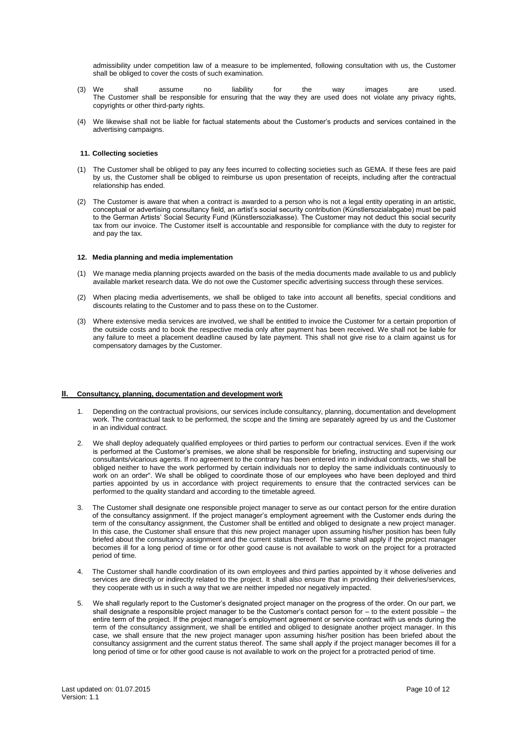admissibility under competition law of a measure to be implemented, following consultation with us, the Customer shall be obliged to cover the costs of such examination.

- (3) We shall assume no liability for the way images are used. The Customer shall be responsible for ensuring that the way they are used does not violate any privacy rights, copyrights or other third-party rights.
- (4) We likewise shall not be liable for factual statements about the Customer's products and services contained in the advertising campaigns.

#### **11. Collecting societies**

- (1) The Customer shall be obliged to pay any fees incurred to collecting societies such as GEMA. If these fees are paid by us, the Customer shall be obliged to reimburse us upon presentation of receipts, including after the contractual relationship has ended.
- (2) The Customer is aware that when a contract is awarded to a person who is not a legal entity operating in an artistic, conceptual or advertising consultancy field, an artist's social security contribution (Künstlersozialabgabe) must be paid to the German Artists' Social Security Fund (Künstlersozialkasse). The Customer may not deduct this social security tax from our invoice. The Customer itself is accountable and responsible for compliance with the duty to register for and pay the tax.

#### **12. Media planning and media implementation**

- (1) We manage media planning projects awarded on the basis of the media documents made available to us and publicly available market research data. We do not owe the Customer specific advertising success through these services.
- (2) When placing media advertisements, we shall be obliged to take into account all benefits, special conditions and discounts relating to the Customer and to pass these on to the Customer.
- (3) Where extensive media services are involved, we shall be entitled to invoice the Customer for a certain proportion of the outside costs and to book the respective media only after payment has been received. We shall not be liable for any failure to meet a placement deadline caused by late payment. This shall not give rise to a claim against us for compensatory damages by the Customer.

### **II. Consultancy, planning, documentation and development work**

- 1. Depending on the contractual provisions, our services include consultancy, planning, documentation and development work. The contractual task to be performed, the scope and the timing are separately agreed by us and the Customer in an individual contract.
- 2. We shall deploy adequately qualified employees or third parties to perform our contractual services. Even if the work is performed at the Customer's premises, we alone shall be responsible for briefing, instructing and supervising our consultants/vicarious agents. If no agreement to the contrary has been entered into in individual contracts, we shall be obliged neither to have the work performed by certain individuals nor to deploy the same individuals continuously to work on an order". We shall be obliged to coordinate those of our employees who have been deployed and third parties appointed by us in accordance with project requirements to ensure that the contracted services can be performed to the quality standard and according to the timetable agreed.
- 3. The Customer shall designate one responsible project manager to serve as our contact person for the entire duration of the consultancy assignment. If the project manager's employment agreement with the Customer ends during the term of the consultancy assignment, the Customer shall be entitled and obliged to designate a new project manager. In this case, the Customer shall ensure that this new project manager upon assuming his/her position has been fully briefed about the consultancy assignment and the current status thereof. The same shall apply if the project manager becomes ill for a long period of time or for other good cause is not available to work on the project for a protracted period of time.
- 4. The Customer shall handle coordination of its own employees and third parties appointed by it whose deliveries and services are directly or indirectly related to the project. It shall also ensure that in providing their deliveries/services, they cooperate with us in such a way that we are neither impeded nor negatively impacted.
- 5. We shall regularly report to the Customer's designated project manager on the progress of the order. On our part, we shall designate a responsible project manager to be the Customer's contact person for – to the extent possible – the entire term of the project. If the project manager's employment agreement or service contract with us ends during the term of the consultancy assignment, we shall be entitled and obliged to designate another project manager. In this case, we shall ensure that the new project manager upon assuming his/her position has been briefed about the consultancy assignment and the current status thereof. The same shall apply if the project manager becomes ill for a long period of time or for other good cause is not available to work on the project for a protracted period of time.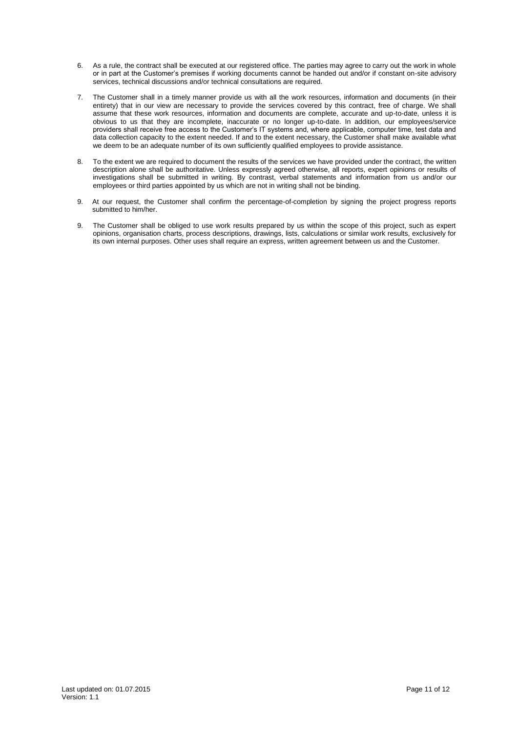- 6. As a rule, the contract shall be executed at our registered office. The parties may agree to carry out the work in whole or in part at the Customer's premises if working documents cannot be handed out and/or if constant on-site advisory services, technical discussions and/or technical consultations are required.
- 7. The Customer shall in a timely manner provide us with all the work resources, information and documents (in their entirety) that in our view are necessary to provide the services covered by this contract, free of charge. We shall assume that these work resources, information and documents are complete, accurate and up-to-date, unless it is obvious to us that they are incomplete, inaccurate or no longer up-to-date. In addition, our employees/service providers shall receive free access to the Customer's IT systems and, where applicable, computer time, test data and data collection capacity to the extent needed. If and to the extent necessary, the Customer shall make available what we deem to be an adequate number of its own sufficiently qualified employees to provide assistance.
- 8. To the extent we are required to document the results of the services we have provided under the contract, the written description alone shall be authoritative. Unless expressly agreed otherwise, all reports, expert opinions or results of investigations shall be submitted in writing. By contrast, verbal statements and information from us and/or our employees or third parties appointed by us which are not in writing shall not be binding.
- 9. At our request, the Customer shall confirm the percentage-of-completion by signing the project progress reports submitted to him/her.
- 9. The Customer shall be obliged to use work results prepared by us within the scope of this project, such as expert opinions, organisation charts, process descriptions, drawings, lists, calculations or similar work results, exclusively for its own internal purposes. Other uses shall require an express, written agreement between us and the Customer.